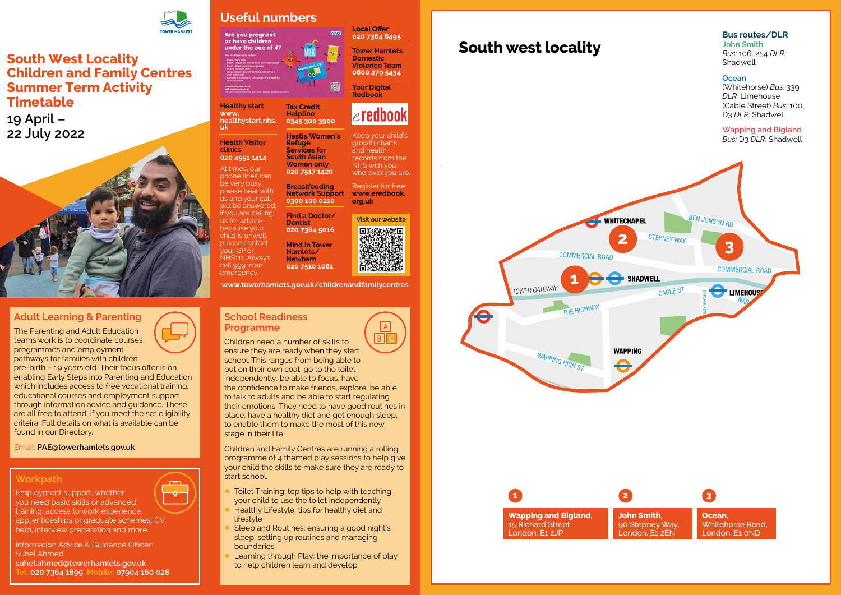# **South west locality**



**Bus routes/DLR**

#### **School Readiness Programme**

 $\overline{B}$ Children need a number of skills to ensure they are ready when they start school. This ranges from being able to put on their own coat, go to the toilet independently, be able to focus, have the confidence to make friends, explore, be able to talk to adults and be able to start regulating their emotions. They need to have good routines in place, have a healthy diet and get enough sleep, to enable them to make the most of this new stage in their life.

- Toilet Training: top tips to help with teaching your child to use the toilet independently
- Healthy Lifestyle: tips for healthy diet and lifestyle
- Sleep and Routines: ensuring a good night's sleep, setting up routines and managing boundaries
- Learning through Play: the importance of play to help children learn and develop

Children and Family Centres are running a rolling programme of 4 themed play sessions to help give your child the skills to make sure they are ready to start school.

### **Adult Learning & Parenting**

The Parenting and Adult Education teams work is to coordinate courses, programmes and employment pathways for families with children

pre-birth – 19 years old. Their focus offer is on enabling Early Steps into Parenting and Education which includes access to free vocational training. educational courses and employment support through information advice and guidance. These are all free to attend, if you meet the set eligibility criteira. Full details on what is available can be found in our Directory.

Email: **[PAE@towerhamlets.gov.uk](mailto:PAE@towerhamlets.gov.uk)**

### **Workpath**

لن<br>س

Employment support, whether

you need basic skills or advanced training; access to work experience, apprenticeships or graduate schemes; CV help, interview preparation and more.

Information Advice & Guidance Officer: Suhel Ahmed **suhel.ahmed@towerhamlets.gov.uk Tel: 020 7364 1899 Mobile: 07904 160 028**



## **South West Locality Children and Family Centres Summer Term Activity Timetable**

**19 April – 22 July 2022**



# **Useful numbers**

Are you pregnant<br>or have children under the age of 4?

**Healthy start [www.](http://www.healthystart.nhs.uk) [healthystart.nhs.](http://www.healthystart.nhs.uk) [uk](http://www.healthystart.nhs.uk)**

**Health Visitor clinics** 

**020 4551 1414** At times, our phone lines can be very busy, please bear with us and your call will be answered. if you are calling us for advice because your child is unwell, please contact your GP or NHS111. Always call 999 in an emergency.

**Tax Credit Helpline 0345 300 3900**

**Hestia Women's** 

**Refuge Services for South Asian Women only 020 7517 1420**

**Breastfeeding Network Support 0300 100 0210**

**Find a Doctor/ Dentist**

**020 7364 5016**

**Mind in Tower Hamlets/ Newham 020 7510 1081** **Local Offer 020 7364 6495**

**MIS** 

**Tower Hamlets Domestic Violence Team 0800 279 5434**

**Your Digital Redbook** 

Keep your child's growth charts and health records from the NHS with you wherever you are. Register for free **[www.eredbook.](http://www.eredbook.org.uk)**

 $\epsilon$ redbook

**[org.uk](http://www.eredbook.org.uk)**

**[www.towerhamlets.gov.uk/childrenandfamilycentres](http://www.towerhamlets.gov.uk/childrenandfamilycentres)**

**Visit our website**

回路线楼处回 **行政**<br>原文